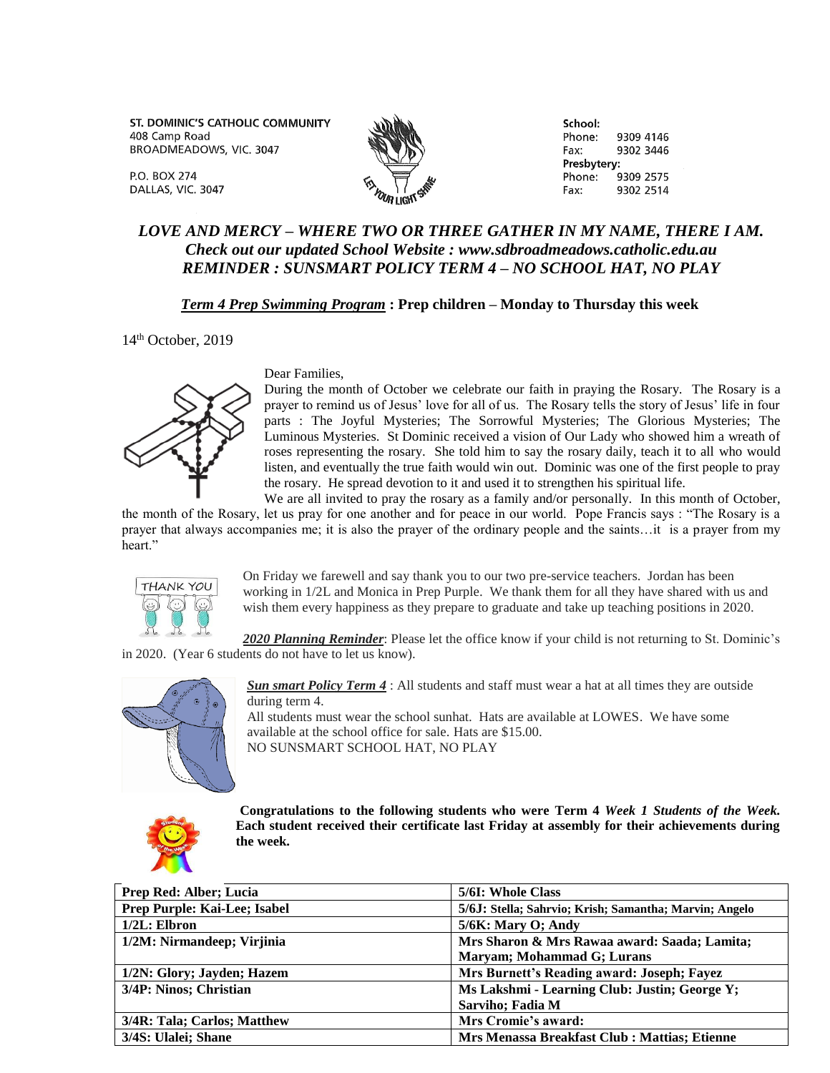ST. DOMINIC'S CATHOLIC COMMUNITY 408 Camp Road BROADMEADOWS, VIC. 3047

**P.O. BOX 274** DALLAS, VIC. 3047



School: Phone: 9309 4146 Fax: 9302 3446 Presbytery: Phone: 9309 2575 Fax: 9302 2514

## *LOVE AND MERCY – WHERE TWO OR THREE GATHER IN MY NAME, THERE I AM. Check out our updated School Website : www.sdbroadmeadows.catholic.edu.au REMINDER : SUNSMART POLICY TERM 4 – NO SCHOOL HAT, NO PLAY*

## *Term 4 Prep Swimming Program* **: Prep children – Monday to Thursday this week**

14<sup>th</sup> October, 2019



## Dear Families,

During the month of October we celebrate our faith in praying the Rosary. The Rosary is a prayer to remind us of Jesus' love for all of us. The Rosary tells the story of Jesus' life in four parts : The Joyful Mysteries; The Sorrowful Mysteries; The Glorious Mysteries; The Luminous Mysteries. St Dominic received a vision of Our Lady who showed him a wreath of roses representing the rosary. She told him to say the rosary daily, teach it to all who would listen, and eventually the true faith would win out. Dominic was one of the first people to pray the rosary. He spread devotion to it and used it to strengthen his spiritual life.

We are all invited to pray the rosary as a family and/or personally. In this month of October, the month of the Rosary, let us pray for one another and for peace in our world. Pope Francis says : "The Rosary is a prayer that always accompanies me; it is also the prayer of the ordinary people and the saints…it is a prayer from my heart."



On Friday we farewell and say thank you to our two pre-service teachers. Jordan has been working in 1/2L and Monica in Prep Purple. We thank them for all they have shared with us and wish them every happiness as they prepare to graduate and take up teaching positions in 2020.

*2020 Planning Reminder*: Please let the office know if your child is not returning to St. Dominic's in 2020. (Year 6 students do not have to let us know).



*Sun smart Policy Term 4* : All students and staff must wear a hat at all times they are outside during term 4.

All students must wear the school sunhat. Hats are available at LOWES. We have some available at the school office for sale. Hats are \$15.00. NO SUNSMART SCHOOL HAT, NO PLAY



**Congratulations to the following students who were Term 4** *Week 1 Students of the Week.*  **Each student received their certificate last Friday at assembly for their achievements during the week.**

| Prep Red: Alber; Lucia       | 5/6I: Whole Class                                      |
|------------------------------|--------------------------------------------------------|
| Prep Purple: Kai-Lee; Isabel | 5/6J: Stella; Sahrvio; Krish; Samantha; Marvin; Angelo |
| $1/2L$ : Elbron              | $5/6K$ : Mary O; Andy                                  |
| 1/2M: Nirmandeep; Virjinia   | Mrs Sharon & Mrs Rawaa award: Saada; Lamita;           |
|                              | <b>Maryam</b> ; Mohammad G; Lurans                     |
| 1/2N: Glory; Jayden; Hazem   | Mrs Burnett's Reading award: Joseph; Fayez             |
| 3/4P: Ninos; Christian       | Ms Lakshmi - Learning Club: Justin; George Y;          |
|                              | Sarviho; Fadia M                                       |
| 3/4R: Tala; Carlos; Matthew  | Mrs Cromie's award:                                    |
| 3/4S: Ulalei; Shane          | Mrs Menassa Breakfast Club : Mattias; Etienne          |